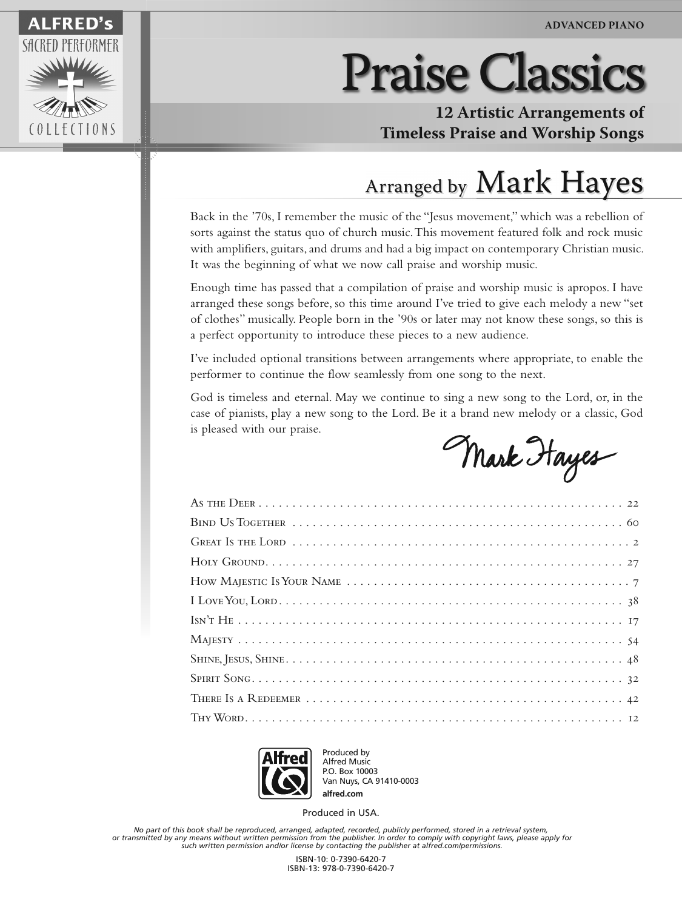

## Praise Classics

**12 Artistic Arrangements of Timeless Praise and Worship Songs**

## Arranged by Mark Hayes

Back in the '70s, I remember the music of the "Jesus movement," which was a rebellion of sorts against the status quo of church music. This movement featured folk and rock music with amplifiers, guitars, and drums and had a big impact on contemporary Christian music. It was the beginning of what we now call praise and worship music.

Enough time has passed that a compilation of praise and worship music is apropos. I have arranged these songs before, so this time around I've tried to give each melody a new "set of clothes" musically. People born in the '90s or later may not know these songs, so this is a perfect opportunity to introduce these pieces to a new audience.

I've included optional transitions between arrangements where appropriate, to enable the performer to continue the flow seamlessly from one song to the next.

God is timeless and eternal. May we continue to sing a new song to the Lord, or, in the case of pianists, play a new song to the Lord. Be it a brand new melody or a classic, God is pleased with our praise.

Mark Hayes



Produced by Alfred Music P.O. Box 10003 Van Nuys, CA 91410-0003

Produced in USA. **alfred.com**

*No part of this book shall be reproduced, arranged, adapted, recorded, publicly performed, stored in a retrieval system, or transmitted by any means without written permission from the publisher. In order to comply with copyright laws, please apply for such written permission and/or license by contacting the publisher at alfred.com/permissions.*

> ISBN-10: 0-7390-6420-7 ISBN-13: 978-0-7390-6420-7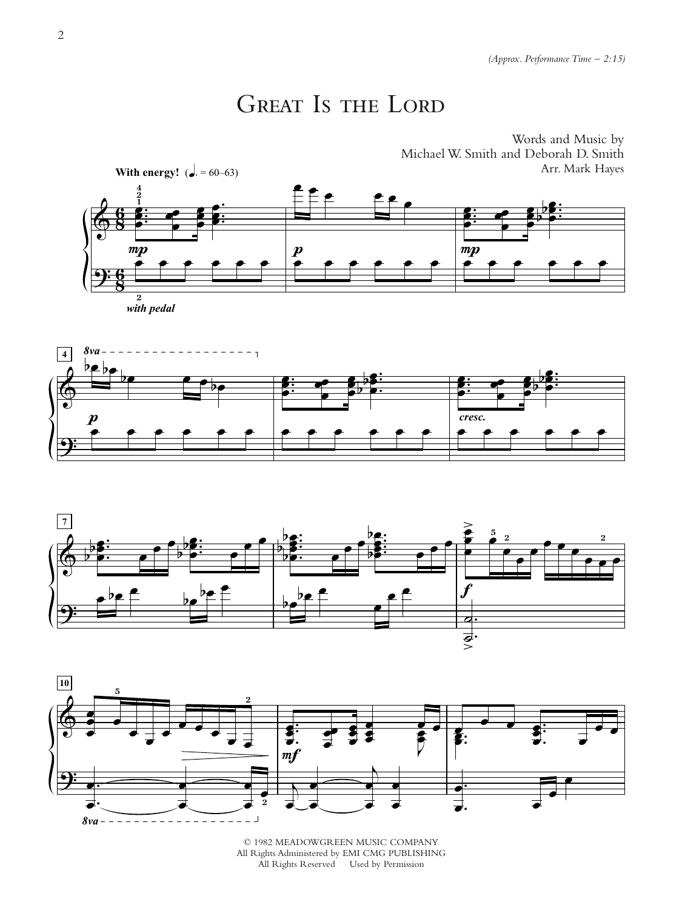## GREAT IS THE LORD









© 1982 MEADOWGREEN MUSIC COMPANY All Rights Administered by EMI CMG PUBLISHING All Rights Reserved Used by Permission